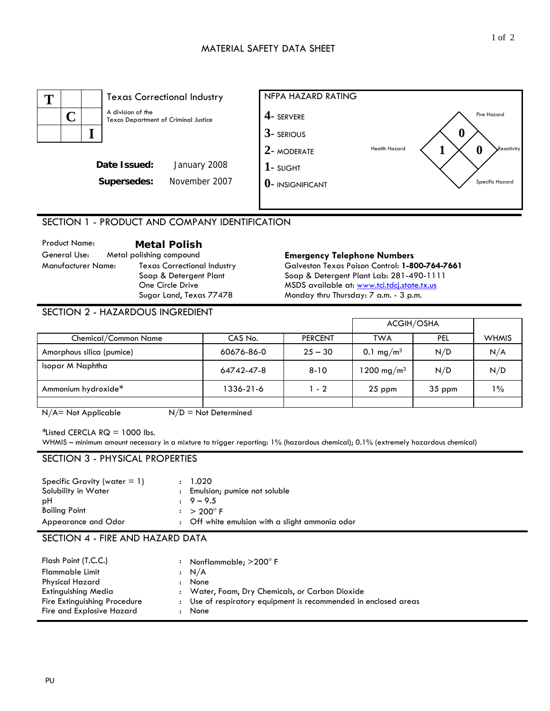#### MATERIAL SAFETY DATA SHEET



# SECTION 1 - PRODUCT AND COMPANY IDENTIFICATION

Product Name: **Metal Polish**  General Use: Metal polishing compound **Emergency Telephone Numbers**  Texas Correctional Industry Soap & Detergent Plant One Circle Drive Sugar Land, Texas 77478

Galveston Texas Poison Control: **1-800-764-7661** Soap & Detergent Plant Lab: 281-490-1111 MSDS available at: [www.tci.tdcj.state.tx.us](http://www.tci.tdcj.state.tx.us/) Monday thru Thursday: 7 a.m. - 3 p.m.

#### SECTION 2 - HAZARDOUS INGREDIENT

|                           |            |                | ACGIH/OSHA             |            |              |
|---------------------------|------------|----------------|------------------------|------------|--------------|
| Chemical/Common Name      | CAS No.    | <b>PERCENT</b> | <b>TWA</b>             | <b>PEL</b> | <b>WHMIS</b> |
| Amorphous silica (pumice) | 60676-86-0 | $25 - 30$      | 0.1 mg/m <sup>3</sup>  | N/D        | N/A          |
| Isopar M Naphtha          | 64742-47-8 | $8 - 10$       | 1200 mg/m <sup>3</sup> | N/D        | N/D          |
| Ammonium hydroxide*       | 1336-21-6  | $1 - 2$        | $25$ ppm               | $35$ ppm   | $1\%$        |
|                           |            |                |                        |            |              |

 $N/A$  = Not Applicable  $N/D$  = Not Determined

 $*$ Listed CERCLA RQ = 1000 lbs.

WHMIS – minimum amount necessary in a mixture to trigger reporting: 1% (hazardous chemical); 0.1% (extremely hazardous chemical)

## SECTION 3 - PHYSICAL PROPERTIES

| Specific Gravity (water $= 1$ ) | : 1.020                                         |
|---------------------------------|-------------------------------------------------|
| Solubility in Water             | : Emulsion; pumice not soluble                  |
| рH                              | $9 - 9.5$                                       |
| <b>Boiling Point</b>            | $:$ > 200 $^{\circ}$ F                          |
| Appearance and Odor             | : Off white emulsion with a slight ammonia odor |

#### SECTION 4 - FIRE AND HAZARD DATA

| Flash Point (T.C.C.)         | : Nonflammable; $>$ 200 $^{\circ}$ F                            |
|------------------------------|-----------------------------------------------------------------|
| <b>Flammable Limit</b>       | $\cdot$ N/A                                                     |
| Physical Hazard              | : None                                                          |
| <b>Extinguishing Media</b>   | : Water, Foam, Dry Chemicals, or Carbon Dioxide                 |
| Fire Extinguishing Procedure | : Use of respiratory equipment is recommended in enclosed areas |
| Fire and Explosive Hazard    | : None                                                          |